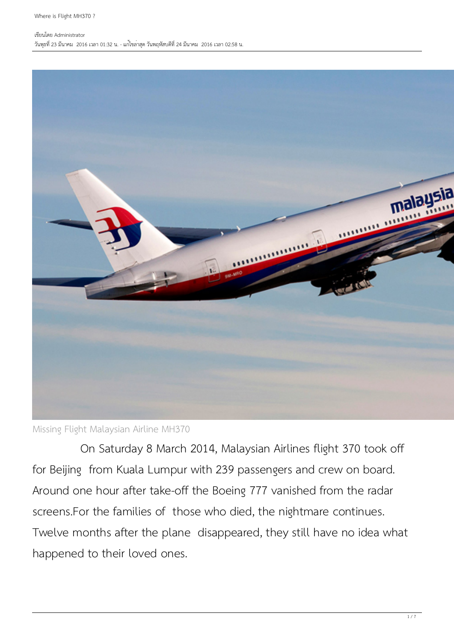#### เขียนโดย Administrator วันพุธที่ 23 มีนาคม 2016 เวลา 01:32 น. - แก้ไขล่าสุด วันพฤหัสบดีที่ 24 มีนาคม 2016 เวลา 02:58 น.



Missing Flight Malaysian Airline MH370

 On Saturday 8 March 2014, Malaysian Airlines flight 370 took off for Beijing from Kuala Lumpur with 239 passengers and crew on board. Around one hour after take-off the Boeing 777 vanished from the radar screens.For the families of those who died, the nightmare continues. Twelve months after the plane disappeared, they still have no idea what happened to their loved ones.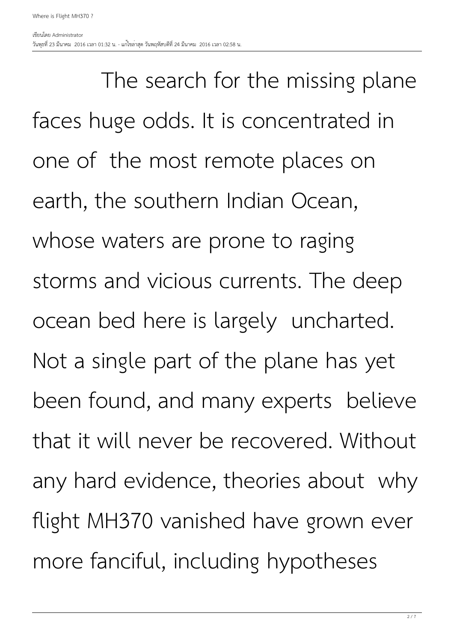The search for the missing plane faces huge odds. It is concentrated in one of the most remote places on earth, the southern Indian Ocean, whose waters are prone to raging storms and vicious currents. The deep ocean bed here is largely uncharted. Not a single part of the plane has yet been found, and many experts believe that it will never be recovered. Without any hard evidence, theories about why flight MH370 vanished have grown ever more fanciful, including hypotheses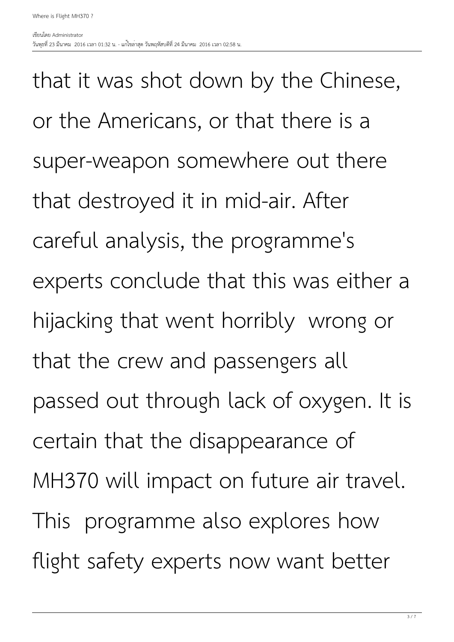that it was shot down by the Chinese, or the Americans, or that there is a super-weapon somewhere out there that destroyed it in mid-air. After careful analysis, the programme's experts conclude that this was either a hijacking that went horribly wrong or that the crew and passengers all passed out through lack of oxygen. It is certain that the disappearance of MH370 will impact on future air travel. This programme also explores how flight safety experts now want better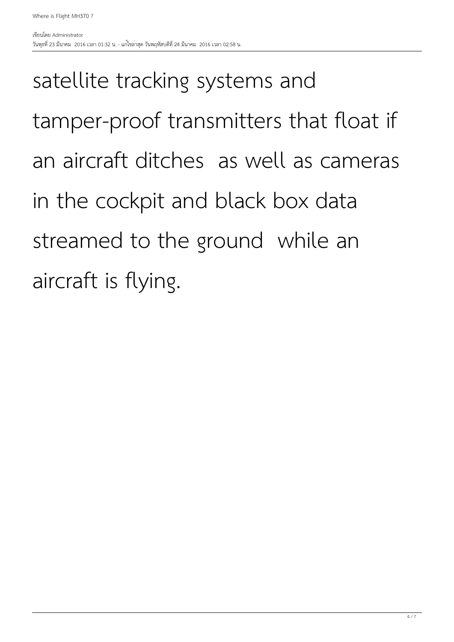# satellite tracking systems and tamper-proof transmitters that float if an aircraft ditches as well as cameras in the cockpit and black box data streamed to the ground while an aircraft is flying.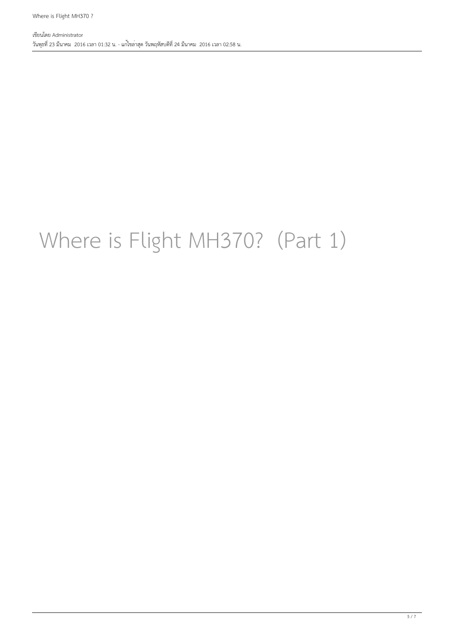### Where is Flight MH370? (Part 1)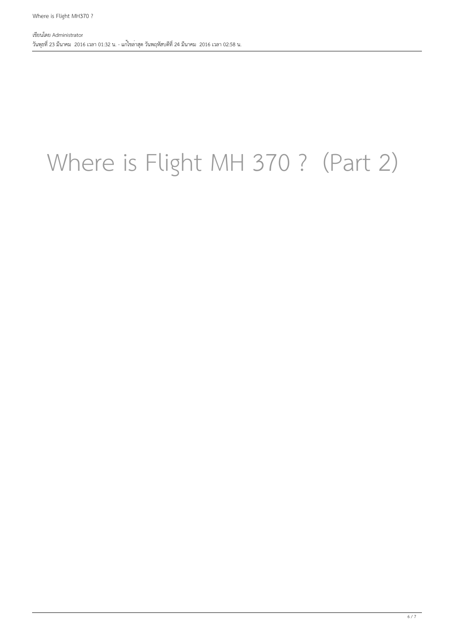# Where is Flight MH 370 ? (Part 2)